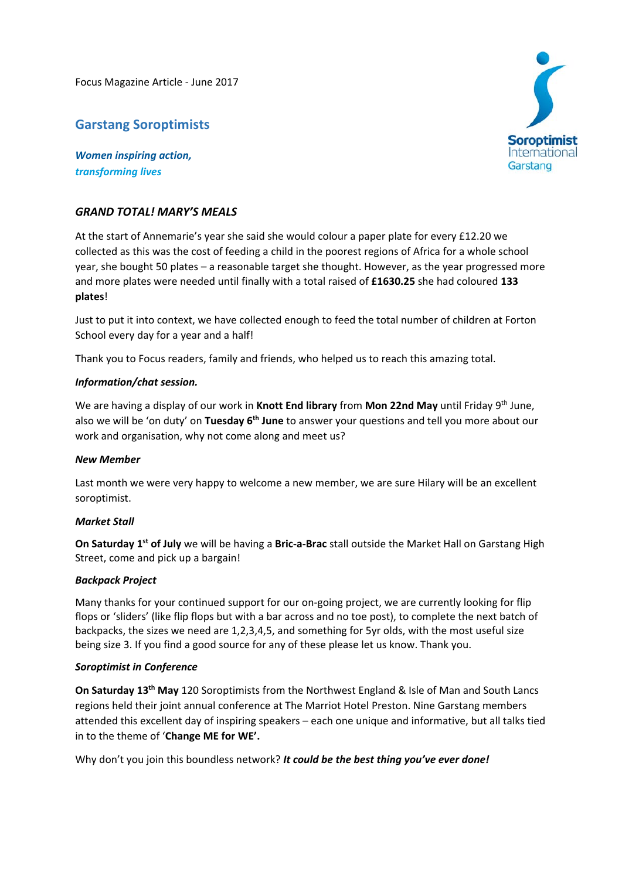Focus Magazine Article ‐ June 2017

# **Garstang Soroptimists**

*Women inspiring action, transforming lives*

## *GRAND TOTAL! MARY'S MEALS*

At the start of Annemarie's year she said she would colour a paper plate for every £12.20 we collected as this was the cost of feeding a child in the poorest regions of Africa for a whole school year, she bought 50 plates – a reasonable target she thought. However, as the year progressed more and more plates were needed until finally with a total raised of **£1630.25** she had coloured **133 plates**!

Just to put it into context, we have collected enough to feed the total number of children at Forton School every day for a year and a half!

Thank you to Focus readers, family and friends, who helped us to reach this amazing total.

### *Information/chat session.*

We are having a display of our work in **Knott End library** from **Mon 22nd May** until Friday 9th June, also we will be 'on duty' on **Tuesday 6th June** to answer your questions and tell you more about our work and organisation, why not come along and meet us?

### *New Member*

Last month we were very happy to welcome a new member, we are sure Hilary will be an excellent soroptimist.

### *Market Stall*

**On Saturday 1st of July** we will be having a **Bric‐a‐Brac** stall outside the Market Hall on Garstang High Street, come and pick up a bargain!

### *Backpack Project*

Many thanks for your continued support for our on-going project, we are currently looking for flip flops or 'sliders' (like flip flops but with a bar across and no toe post), to complete the next batch of backpacks, the sizes we need are 1,2,3,4,5, and something for 5yr olds, with the most useful size being size 3. If you find a good source for any of these please let us know. Thank you.

### *Soroptimist in Conference*

**On Saturday 13th May** 120 Soroptimists from the Northwest England & Isle of Man and South Lancs regions held their joint annual conference at The Marriot Hotel Preston. Nine Garstang members attended this excellent day of inspiring speakers – each one unique and informative, but all talks tied in to the theme of '**Change ME for WE'.** 

Why don't you join this boundless network? *It could be the best thing you've ever done!*